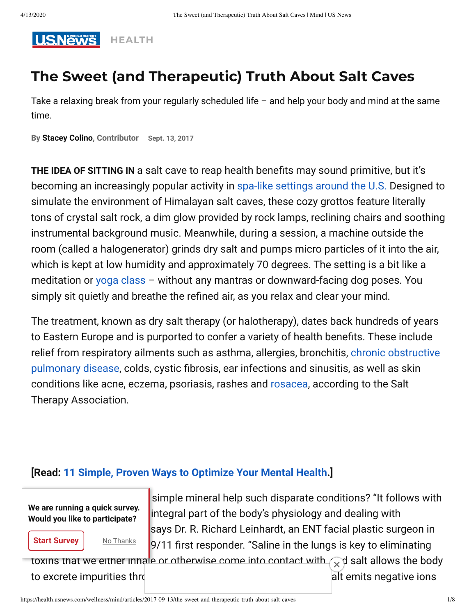

# **The Sweet (and Therapeutic) Truth About Salt Caves**

Take a relaxing break from your regularly scheduled life – and help your body and mind at the same time.

**By [Stacey Colino,](https://www.usnews.com/topics/author/stacey-colino) Contributor Sept. 13, 2017**

**THE IDEA OF SITTING IN** a salt cave to reap health benefits may sound primitive, but it's becoming an increasingly popular activity in [spa-like settings around the U.S.](https://health.usnews.com/health-news/health-wellness/articles/2015/02/12/massage-as-medicine) Designed to simulate the environment of Himalayan salt caves, these cozy grottos feature literally tons of crystal salt rock, a dim glow provided by rock lamps, reclining chairs and soothing instrumental background music. Meanwhile, during a session, a machine outside the room (called a halogenerator) grinds dry salt and pumps micro particles of it into the air, which is kept at low humidity and approximately 70 degrees. The setting is a bit like a meditation or [yoga class](https://health.usnews.com/health-news/blogs/eat-run/articles/2017-08-16/7-unspoken-rules-of-yoga-etiquette) – without any mantras or downward-facing dog poses. You simply sit quietly and breathe the refined air, as you relax and clear your mind.

The treatment, known as dry salt therapy (or halotherapy), dates back hundreds of years to Eastern Europe and is purported to confer a variety of health benefits. These include [relief from respiratory ailments such as asthma, allergies, bronchitis, chronic obstructive](https://health.usnews.com/conditions/copd) pulmonary disease, colds, cystic fibrosis, ear infections and sinusitis, as well as skin conditions like acne, eczema, psoriasis, rashes and [rosacea,](https://health.usnews.com/health-news/health-wellness/articles/2013/06/01/how-to-tell-if-your-red-skin-is-rosacea) according to the Salt Therapy Association.

#### **[Read: [11 Simple, Proven Ways to Optimize Your Mental Health.](https://health.usnews.com/health-news/health-wellness/slideshows/11-simple-proven-ways-to-optimize-your-mental-health)]**

**We are running a quick survey. Would you like to participate?**

**Start Survey** 

simple mineral help such disparate conditions? "It follows with integral part of the body's physiology and dealing with says Dr. R. Richard Leinhardt, an ENT facial plastic surgeon in  $\frac{N_{\text{O}}$  Thanks **9/11** first responder. "Saline in the lungs is key to eliminating

toxins that we either inhale or otherwise come into contact with  $\sim$  d salt allows the body to excrete impurities through indeed, Himalayan salt emits negative ions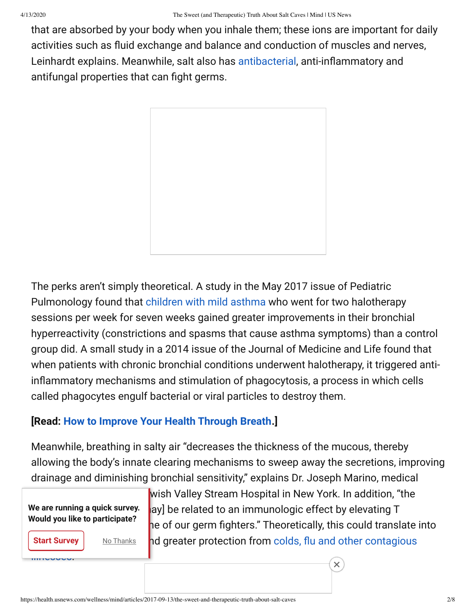that are absorbed by your body when you inhale them; these ions are important for daily activities such as fluid exchange and balance and conduction of muscles and nerves, Leinhardt explains. Meanwhile, salt also has [antibacterial](https://health.usnews.com/health-products/top-rec-antibacterial-soaps-5), anti-inflammatory and antifungal properties that can fight germs.



The perks aren't simply theoretical. A study in the May 2017 issue of Pediatric Pulmonology found that [children with mild asthma](https://health.usnews.com/health-news/patient-advice/articles/2016-05-19/was-the-doctor-right-about-your-childs-asthma-diagnosis) who went for two halotherapy sessions per week for seven weeks gained greater improvements in their bronchial hyperreactivity (constrictions and spasms that cause asthma symptoms) than a control group did. A small study in a 2014 issue of the Journal of Medicine and Life found that when patients with chronic bronchial conditions underwent halotherapy, it triggered antiinflammatory mechanisms and stimulation of phagocytosis, a process in which cells called phagocytes engulf bacterial or viral particles to destroy them.

## **[Read: [How to Improve Your Health Through Breath](https://health.usnews.com/health-care/for-better/articles/2017-01-05/how-to-improve-your-health-through-breath).]**

Meanwhile, breathing in salty air "decreases the thickness of the mucous, thereby allowing the body's innate clearing mechanisms to sweep away the secretions, improving drainage and diminishing bronchial sensitivity," explains Dr. Joseph Marino, medical

**We are running a quick survey. Would you like to participate?**

**Start Survey** 

illnesses.

wish Valley Stream Hospital in New York. In addition, "the ay] be related to an immunologic effect by elevating T he of our germ fighters." Theoretically, this could translate into **No Thanks** hd greater protection from colds, flu and other contagious

 $\times$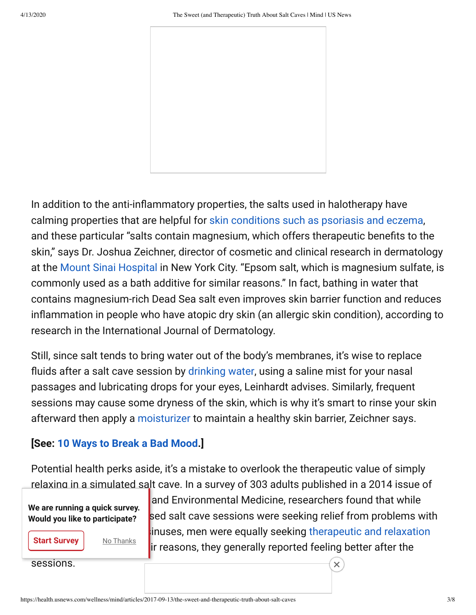

In addition to the anti-inflammatory properties, the salts used in halotherapy have calming properties that are helpful for [skin conditions such as psoriasis and eczema](https://health.usnews.com/health-news/health-wellness/articles/2015/05/27/healing-your-skin-with-your-mind), and these particular "salts contain magnesium, which offers therapeutic benefits to the skin," says Dr. Joshua Zeichner, director of cosmetic and clinical research in dermatology at the [Mount Sinai Hospital](https://health.usnews.com/best-hospitals/area/ny/mount-sinai-medical-center-6213140) in New York City. "Epsom salt, which is magnesium sulfate, is commonly used as a bath additive for similar reasons." In fact, bathing in water that contains magnesium-rich Dead Sea salt even improves skin barrier function and reduces inflammation in people who have atopic dry skin (an allergic skin condition), according to research in the International Journal of Dermatology.

Still, since salt tends to bring water out of the body's membranes, it's wise to replace fluids after a salt cave session by [drinking water,](https://health.usnews.com/health-care/for-better/articles/2017-07-17/how-to-stay-happily-hydrated-this-summer) using a saline mist for your nasal passages and lubricating drops for your eyes, Leinhardt advises. Similarly, frequent sessions may cause some dryness of the skin, which is why it's smart to rinse your skin afterward then apply a [moisturizer](https://health.usnews.com/health-products/top-rec-therapeutic-skin-care-moisturizers-127) to maintain a healthy skin barrier, Zeichner says.

## **[See: [10 Ways to Break a Bad Mood.](https://health.usnews.com/health-news/health-wellness/slideshows/10-ways-to-break-a-bad-mood)]**

Potential health perks aside, it's a mistake to overlook the therapeutic value of simply relaxing in a simulated salt cave. In a survey of 303 adults published in a 2014 issue of

**We are running a quick survey. Would you like to participate?**

**Start Survey** 

sessions.

and Environmental Medicine, researchers found that while sed salt cave sessions were seeking relief from problems with **the Thanks** dinuses, men were equally seeking therapeutic and relaxation ir reasons, they generally reported feeling better after the

 $\times$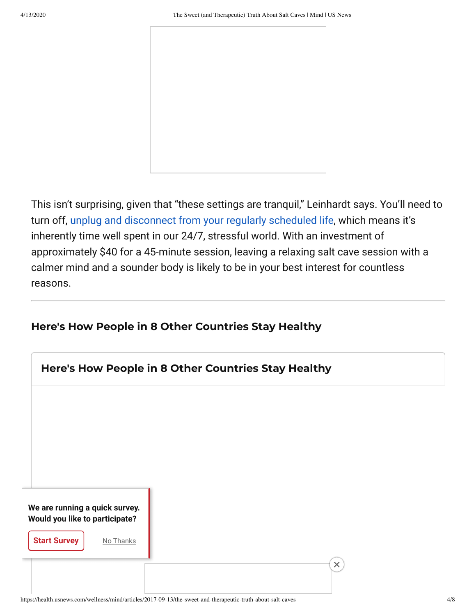

This isn't surprising, given that "these settings are tranquil," Leinhardt says. You'll need to turn off, [unplug and disconnect from your regularly scheduled life,](https://health.usnews.com/wellness/slideshows/9-surprising-things-that-happen-when-you-go-on-a-digital-detox) which means it's inherently time well spent in our 24/7, stressful world. With an investment of approximately \$40 for a 45-minute session, leaving a relaxing salt cave session with a calmer mind and a sounder body is likely to be in your best interest for countless reasons.

### **Here's How People in 8 Other Countries Stay Healthy**

| Here's How People in 8 Other Countries Stay Healthy              |   |  |  |  |
|------------------------------------------------------------------|---|--|--|--|
|                                                                  |   |  |  |  |
|                                                                  |   |  |  |  |
|                                                                  |   |  |  |  |
| We are running a quick survey.<br>Would you like to participate? |   |  |  |  |
| <b>Start Survey</b><br>No Thanks                                 |   |  |  |  |
|                                                                  | × |  |  |  |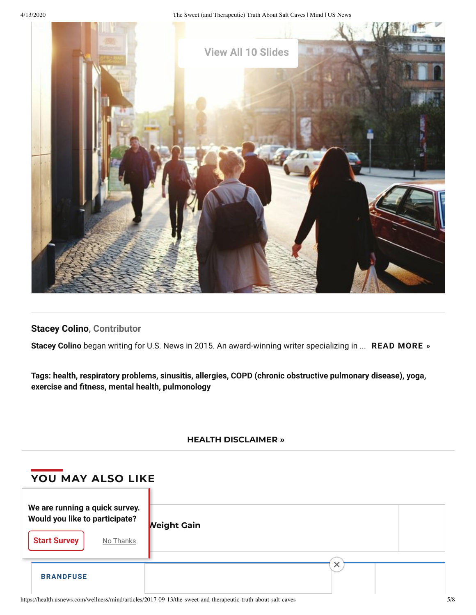4/13/2020 The Sweet (and Therapeutic) Truth About Salt Caves | Mind | US News



**[Stacey Colino](https://www.usnews.com/topics/author/stacey-colino), Contributor**

**Stacey Colino** began writing for U.S. News in 2015. An award-winning writer specializing in ... **READ [MORE](https://www.usnews.com/topics/author/stacey-colino) »**

**Tags: [health,](https://www.usnews.com/topics/subjects/health) [respiratory problems](https://www.usnews.com/topics/subjects/respiratory_problems), [sinusitis](https://www.usnews.com/topics/subjects/sinusitis), [allergies,](https://www.usnews.com/topics/subjects/allergies) [COPD \(chronic obstructive pulmonary disease\),](https://www.usnews.com/topics/subjects/copd-chronic-obstructive-pulmonary-disease) [yoga,](https://www.usnews.com/topics/subjects/yoga) [exercise and tness,](https://www.usnews.com/topics/subjects/exercise) [mental health](https://www.usnews.com/topics/subjects/mental-health), [pulmonology](https://www.usnews.com/topics/subjects/pulmonology)**

#### **HEALTH [DISCLAIMER](https://health.usnews.com/health-news/articles/2012/07/16/disclaimer-and-a-note-about-your-health) »**

| YOU MAY ALSO LIKE                                                                                    |                    |
|------------------------------------------------------------------------------------------------------|--------------------|
| We are running a quick survey.<br>Would you like to participate?<br><b>Start Survey</b><br>No Thanks | <b>Neight Gain</b> |
| <b>BRANDFUSE</b>                                                                                     | ᄉ                  |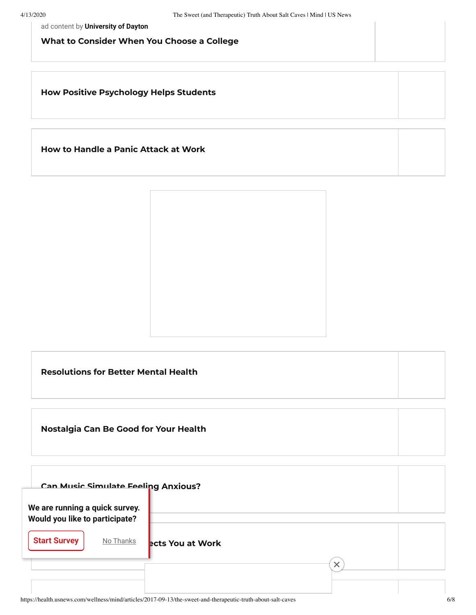ad content by **University of Dayton**

**What to Consider When You Choose a College**

**How Positive [Psychology](https://health.usnews.com/wellness/mind/articles/2019-01-18/how-positive-psychology-can-improve-student-success) Helps Students**

**How to [Handle](https://health.usnews.com/wellness/mind/articles/2019-01-07/how-to-handle-a-panic-attack-at-work) a Panic Attack at Work**



**[Resolutions](https://health.usnews.com/wellness/mind/slideshows/10-new-years-resolutions-for-better-mental-health) for Better Mental Health**

**[Nostalgia](https://health.usnews.com/wellness/mind/articles/2018-12-26/how-nostalgia-can-be-good-for-your-health-and-well-being) Can Be Good for Your Health**

| <b>Can Music Simulate Feeling Anxious?</b>                       |                  |
|------------------------------------------------------------------|------------------|
| We are running a quick survey.<br>Would you like to participate? |                  |
| <b>Start Survey</b><br>No Thanks                                 |                  |
|                                                                  | ects You at Work |
|                                                                  |                  |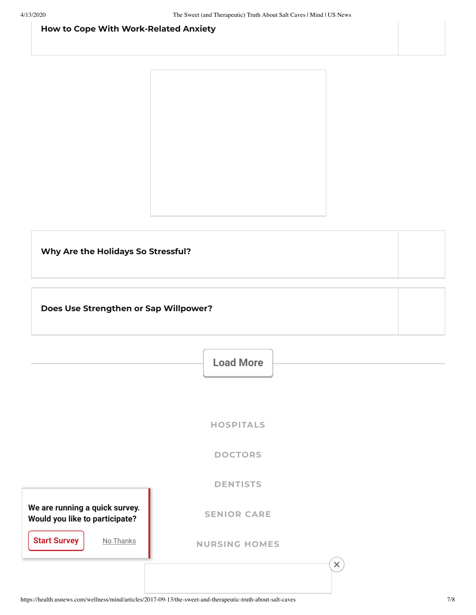#### **How to Cope With [Work-Related](https://health.usnews.com/wellness/mind/articles/2018-12-13/how-to-cope-with-work-related-anxiety) Anxiety**